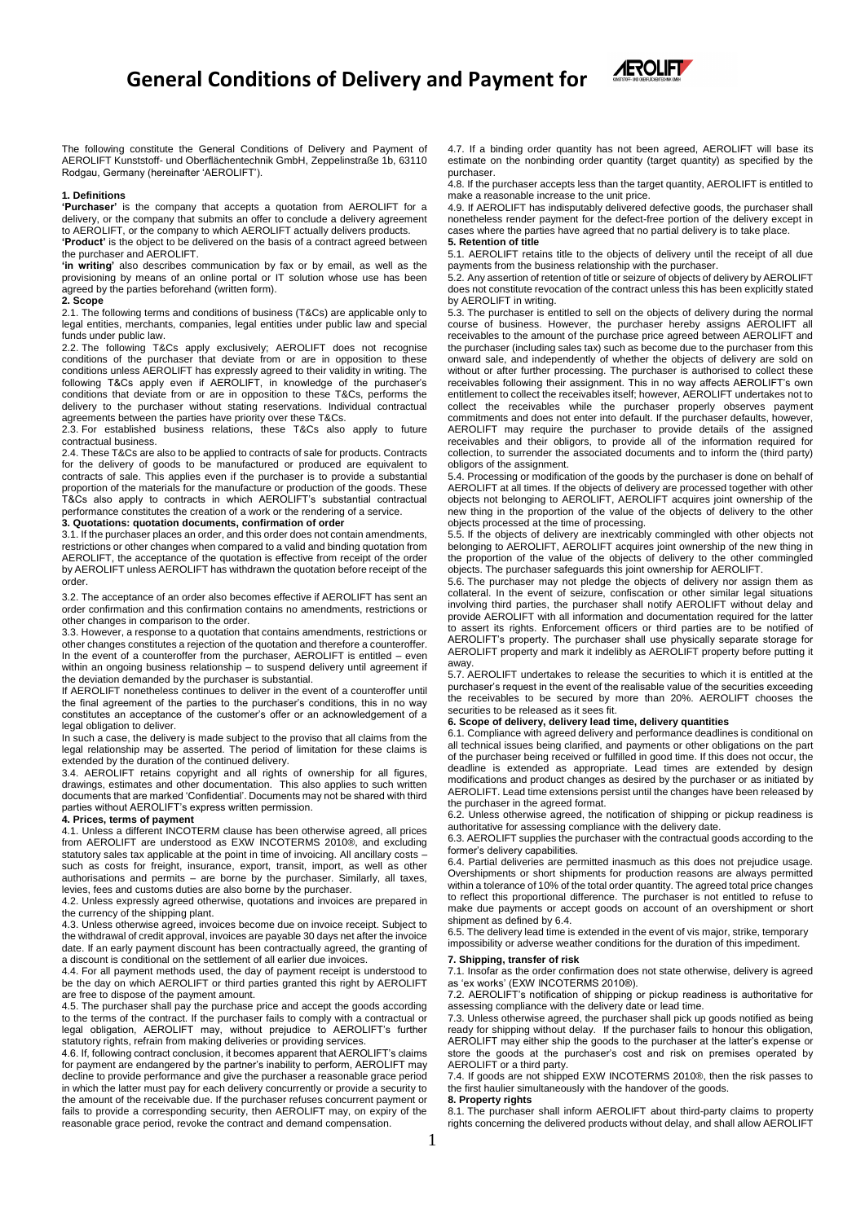# **General Conditions of Delivery and Payment for**



The following constitute the General Conditions of Delivery and Payment of AEROLIFT Kunststoff- und Oberflächentechnik GmbH, Zeppelinstraße 1b, 63110 Rodgau, Germany (hereinafter 'AEROLIFT').

#### **1. Definitions**

**'Purchaser'** is the company that accepts a quotation from AEROLIFT for a delivery, or the company that submits an offer to conclude a delivery agreement to AEROLIFT, or the company to which AEROLIFT actually delivers products.

**'Product'** is the object to be delivered on the basis of a contract agreed between the purchaser and AEROLIFT.

**'in writing'** also describes communication by fax or by email, as well as the provisioning by means of an online portal or IT solution whose use has been agreed by the parties beforehand (written form).

#### **2. Scope**

2.1. The following terms and conditions of business (T&Cs) are applicable only to legal entities, merchants, companies, legal entities under public law and special funds under public law.

2.2. The following T&Cs apply exclusively; AEROLIFT does not recognise conditions of the purchaser that deviate from or are in opposition to these conditions unless AEROLIFT has expressly agreed to their validity in writing. The following T&Cs apply even if AEROLIFT, in knowledge of the purchaser's conditions that deviate from or are in opposition to these T&Cs, performs the delivery to the purchaser without stating reservations. Individual contractual agreements between the parties have priority over these T&Cs.

2.3. For established business relations, these T&Cs also apply to future contractual business.

2.4. These T&Cs are also to be applied to contracts of sale for products. Contracts for the delivery of goods to be manufactured or produced are equivalent to contracts of sale. This applies even if the purchaser is to provide a substantial proportion of the materials for the manufacture or production of the goods. These T&Cs also apply to contracts in which AEROLIFT's substantial contractual performance constitutes the creation of a work or the rendering of a service.

#### **3. Quotations: quotation documents, confirmation of order**

3.1. If the purchaser places an order, and this order does not contain amendments, restrictions or other changes when compared to a valid and binding quotation from AEROLIFT, the acceptance of the quotation is effective from receipt of the order by AEROLIFT unless AEROLIFT has withdrawn the quotation before receipt of the order.

3.2. The acceptance of an order also becomes effective if AEROLIFT has sent an order confirmation and this confirmation contains no amendments, restrictions or other changes in comparison to the order.

3.3. However, a response to a quotation that contains amendments, restrictions or other changes constitutes a rejection of the quotation and therefore a counteroffer. In the event of a counteroffer from the purchaser, AEROLIFT is entitled – even within an ongoing business relationship - to suspend delivery until agreement if the deviation demanded by the purchaser is substantial.

If AEROLIFT nonetheless continues to deliver in the event of a counteroffer until the final agreement of the parties to the purchaser's conditions, this in no way constitutes an acceptance of the customer's offer or an acknowledgement of a legal obligation to deliver.

In such a case, the delivery is made subject to the proviso that all claims from the legal relationship may be asserted. The period of limitation for these claims is extended by the duration of the continued delivery.

3.4. AEROLIFT retains copyright and all rights of ownership for all figures, drawings, estimates and other documentation. This also applies to such written documents that are marked 'Confidential'. Documents may not be shared with third parties without AEROLIFT's express written permission. **4. Prices, terms of payment**

4.1. Unless a different INCOTERM clause has been otherwise agreed, all prices from AEROLIFT are understood as EXW INCOTERMS 2010®, and excluding statutory sales tax applicable at the point in time of invoicing. All ancillary costs – such as costs for freight, insurance, export, transit, import, as well as other authorisations and permits – are borne by the purchaser. Similarly, all taxes, levies, fees and customs duties are also borne by the purchaser.

4.2. Unless expressly agreed otherwise, quotations and invoices are prepared in the currency of the shipping plant.

4.3. Unless otherwise agreed, invoices become due on invoice receipt. Subject to the withdrawal of credit approval, invoices are payable 30 days net after the invoice date. If an early payment discount has been contractually agreed, the granting of a discount is conditional on the settlement of all earlier due invoices.

4.4. For all payment methods used, the day of payment receipt is understood to be the day on which AEROLIFT or third parties granted this right by AEROLIFT are free to dispose of the payment amount.

4.5. The purchaser shall pay the purchase price and accept the goods according to the terms of the contract. If the purchaser fails to comply with a contractual or legal obligation, AEROLIFT may, without prejudice to AEROLIFT's further statutory rights, refrain from making deliveries or providing services.

4.6. If, following contract conclusion, it becomes apparent that AEROLIFT's claims for payment are endangered by the partner's inability to perform, AEROLIFT may decline to provide performance and give the purchaser a reasonable grace period in which the latter must pay for each delivery concurrently or provide a security to the amount of the receivable due. If the purchaser refuses concurrent payment or fails to provide a corresponding security, then AEROLIFT may, on expiry of the reasonable grace period, revoke the contract and demand compensation.

4.7. If a binding order quantity has not been agreed, AEROLIFT will base its estimate on the nonbinding order quantity (target quantity) as specified by the purchaser.

4.8. If the purchaser accepts less than the target quantity, AEROLIFT is entitled to make a reasonable increase to the unit price.

4.9. If AEROLIFT has indisputably delivered defective goods, the purchaser shall nonetheless render payment for the defect-free portion of the delivery except in cases where the parties have agreed that no partial delivery is to take place. **5. Retention of title**

5.1. AEROLIFT retains title to the objects of delivery until the receipt of all due

payments from the business relationship with the purchaser. 5.2. Any assertion of retention of title or seizure of objects of delivery by AEROLIFT does not constitute revocation of the contract unless this has been explicitly stated by AEROLIFT in writing.

5.3. The purchaser is entitled to sell on the objects of delivery during the normal course of business. However, the purchaser hereby assigns AEROLIFT all receivables to the amount of the purchase price agreed between AEROLIFT and the purchaser (including sales tax) such as become due to the purchaser from this onward sale, and independently of whether the objects of delivery are sold on without or after further processing. The purchaser is authorised to collect these receivables following their assignment. This in no way affects AEROLIFT's own entitlement to collect the receivables itself; however, AEROLIFT undertakes not to collect the receivables while the purchaser properly observes payment commitments and does not enter into default. If the purchaser defaults, however, AEROLIFT may require the purchaser to provide details of the assigned receivables and their obligors, to provide all of the information required for collection, to surrender the associated documents and to inform the (third party) obligors of the assignment.

5.4. Processing or modification of the goods by the purchaser is done on behalf of AEROLIFT at all times. If the objects of delivery are processed together with other objects not belonging to AEROLIFT, AEROLIFT acquires joint ownership of the new thing in the proportion of the value of the objects of delivery to the other objects processed at the time of processing.

5.5. If the objects of delivery are inextricably commingled with other objects not belonging to AEROLIFT, AEROLIFT acquires joint ownership of the new thing in the proportion of the value of the objects of delivery to the other commingled objects. The purchaser safeguards this joint ownership for AEROLIFT.

5.6. The purchaser may not pledge the objects of delivery nor assign them as collateral. In the event of seizure, confiscation or other similar legal situations involving third parties, the purchaser shall notify AEROLIFT without delay and provide AEROLIFT with all information and documentation required for the latter to assert its rights. Enforcement officers or third parties are to be notified of AEROLIFT's property. The purchaser shall use physically separate storage for AEROLIFT property and mark it indelibly as AEROLIFT property before putting it away.

5.7. AEROLIFT undertakes to release the securities to which it is entitled at the purchaser's request in the event of the realisable value of the securities exceeding the receivables to be secured by more than 20%. AEROLIFT chooses the securities to be released as it sees fit.

### **6. Scope of delivery, delivery lead time, delivery quantities**

6.1. Compliance with agreed delivery and performance deadlines is conditional on all technical issues being clarified, and payments or other obligations on the part of the purchaser being received or fulfilled in good time. If this does not occur, the deadline is extended as appropriate. Lead times are extended by design modifications and product changes as desired by the purchaser or as initiated by AEROLIFT. Lead time extensions persist until the changes have been released by the purchaser in the agreed format.

6.2. Unless otherwise agreed, the notification of shipping or pickup readiness is authoritative for assessing compliance with the delivery date.

6.3. AEROLIFT supplies the purchaser with the contractual goods according to the former's delivery capabilities.

6.4. Partial deliveries are permitted inasmuch as this does not prejudice usage. Overshipments or short shipments for production reasons are always permitted within a tolerance of 10% of the total order quantity. The agreed total price changes to reflect this proportional difference. The purchaser is not entitled to refuse to make due payments or accept goods on account of an overshipment or short shipment as defined by 6.4.

6.5. The delivery lead time is extended in the event of vis major, strike, temporary impossibility or adverse weather conditions for the duration of this impediment.

#### **7. Shipping, transfer of risk**

7.1. Insofar as the order confirmation does not state otherwise, delivery is agreed as 'ex works' (EXW INCOTERMS 2010®).

7.2. AEROLIFT's notification of shipping or pickup readiness is authoritative for assessing compliance with the delivery date or lead time.

7.3. Unless otherwise agreed, the purchaser shall pick up goods notified as being ready for shipping without delay. If the purchaser fails to honour this obligation, AEROLIFT may either ship the goods to the purchaser at the latter's expense or store the goods at the purchaser's cost and risk on premises operated by AEROLIFT or a third party.

7.4. If goods are not shipped EXW INCOTERMS 2010®, then the risk passes to the first haulier simultaneously with the handover of the goods.

#### **8. Property rights**

8.1. The purchaser shall inform AEROLIFT about third-party claims to property rights concerning the delivered products without delay, and shall allow AEROLIFT